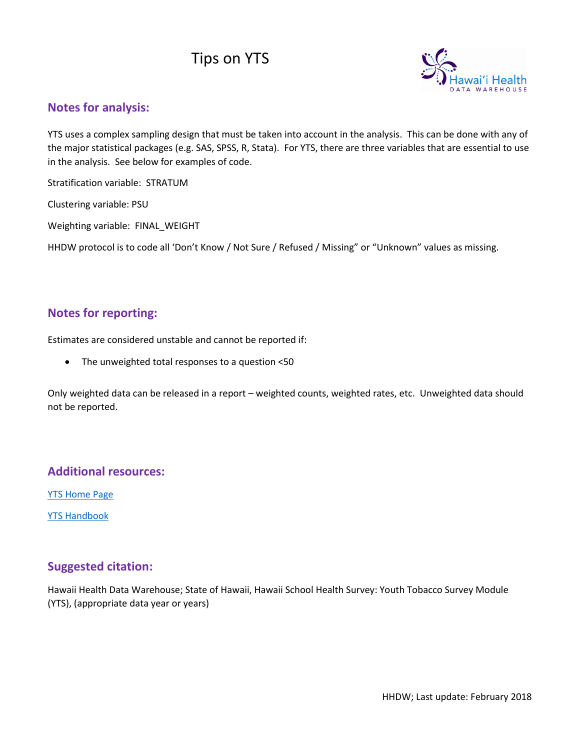# Tips on YTS



### **Notes for analysis:**

YTS uses a complex sampling design that must be taken into account in the analysis. This can be done with any of the major statistical packages (e.g. SAS, SPSS, R, Stata). For YTS, there are three variables that are essential to use in the analysis. See below for examples of code.

Stratification variable: STRATUM

Clustering variable: PSU

Weighting variable: FINAL\_WEIGHT

HHDW protocol is to code all 'Don't Know / Not Sure / Refused / Missing" or "Unknown" values as missing.

## **Notes for reporting:**

Estimates are considered unstable and cannot be reported if:

• The unweighted total responses to a question <50

Only weighted data can be released in a report – weighted counts, weighted rates, etc. Unweighted data should not be reported.

### **Additional resources:**

**YTS [Home Page](http://www.cdc.gov/tobacco/data_statistics/surveys/yts/)** 

[YTS Handbook](http://www.cdc.gov/tobacco/data_statistics/surveys/yts/pdfs/ytsHandbook.pdf)

#### **Suggested citation:**

Hawaii Health Data Warehouse; State of Hawaii, Hawaii School Health Survey: Youth Tobacco Survey Module (YTS), (appropriate data year or years)